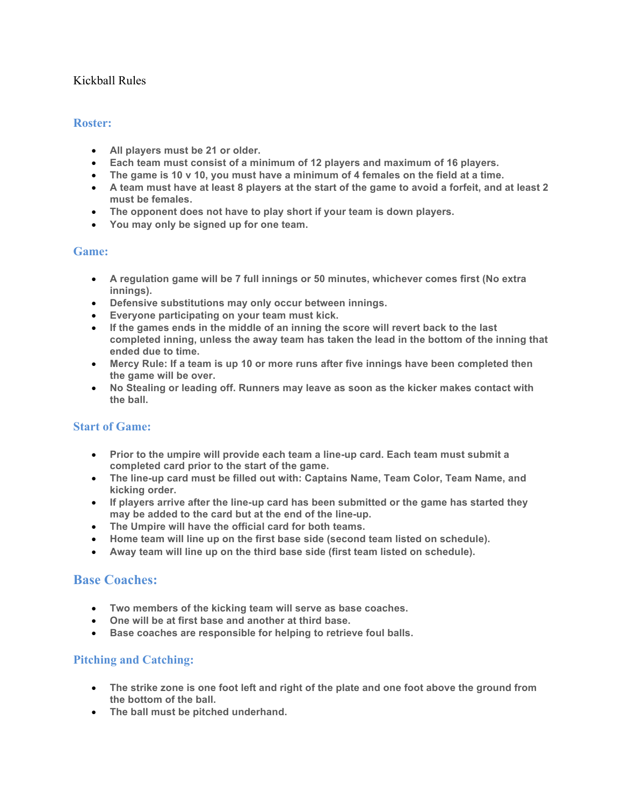## Kickball Rules

#### **Roster:**

- **All players must be 21 or older.**
- **Each team must consist of a minimum of 12 players and maximum of 16 players.**
- **The game is 10 v 10, you must have a minimum of 4 females on the field at a time.**
- **A team must have at least 8 players at the start of the game to avoid a forfeit, and at least 2 must be females.**
- **The opponent does not have to play short if your team is down players.**
- **You may only be signed up for one team.**

### **Game:**

- **A regulation game will be 7 full innings or 50 minutes, whichever comes first (No extra innings).**
- **Defensive substitutions may only occur between innings.**
- **Everyone participating on your team must kick.**
- **If the games ends in the middle of an inning the score will revert back to the last completed inning, unless the away team has taken the lead in the bottom of the inning that ended due to time.**
- **Mercy Rule: If a team is up 10 or more runs after five innings have been completed then the game will be over.**
- **No Stealing or leading off. Runners may leave as soon as the kicker makes contact with the ball.**

### **Start of Game:**

- **Prior to the umpire will provide each team a line-up card. Each team must submit a completed card prior to the start of the game.**
- **The line-up card must be filled out with: Captains Name, Team Color, Team Name, and kicking order.**
- **If players arrive after the line-up card has been submitted or the game has started they may be added to the card but at the end of the line-up.**
- **The Umpire will have the official card for both teams.**
- **Home team will line up on the first base side (second team listed on schedule).**
- **Away team will line up on the third base side (first team listed on schedule).**

# **Base Coaches:**

- **Two members of the kicking team will serve as base coaches.**
- **One will be at first base and another at third base.**
- **Base coaches are responsible for helping to retrieve foul balls.**

## **Pitching and Catching:**

- **The strike zone is one foot left and right of the plate and one foot above the ground from the bottom of the ball.**
- **The ball must be pitched underhand.**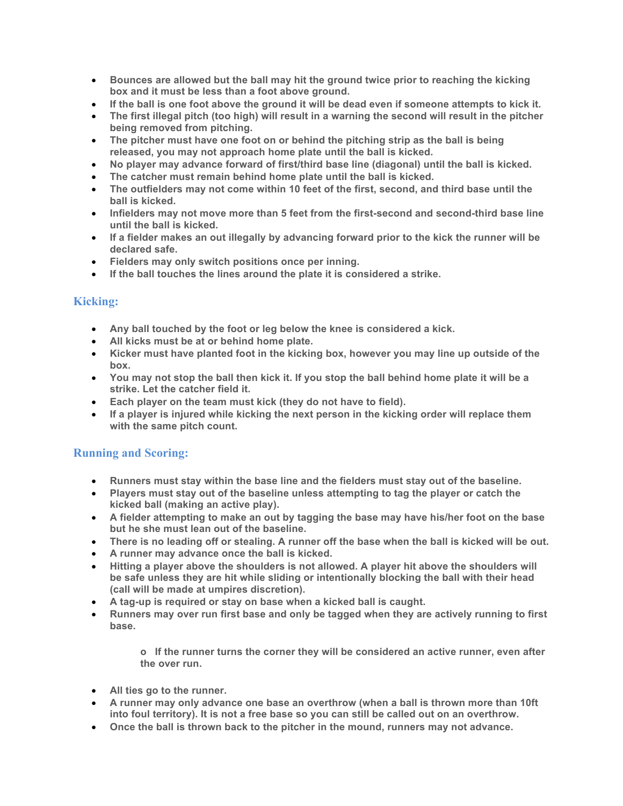- **Bounces are allowed but the ball may hit the ground twice prior to reaching the kicking box and it must be less than a foot above ground.**
- **If the ball is one foot above the ground it will be dead even if someone attempts to kick it.**
- **The first illegal pitch (too high) will result in a warning the second will result in the pitcher being removed from pitching.**
- **The pitcher must have one foot on or behind the pitching strip as the ball is being released, you may not approach home plate until the ball is kicked.**
- **No player may advance forward of first/third base line (diagonal) until the ball is kicked.**
- **The catcher must remain behind home plate until the ball is kicked.**
- **The outfielders may not come within 10 feet of the first, second, and third base until the ball is kicked.**
- **Infielders may not move more than 5 feet from the first-second and second-third base line until the ball is kicked.**
- **If a fielder makes an out illegally by advancing forward prior to the kick the runner will be declared safe.**
- **Fielders may only switch positions once per inning.**
- **If the ball touches the lines around the plate it is considered a strike.**

## **Kicking:**

- **Any ball touched by the foot or leg below the knee is considered a kick.**
- **All kicks must be at or behind home plate.**
- **Kicker must have planted foot in the kicking box, however you may line up outside of the box.**
- **You may not stop the ball then kick it. If you stop the ball behind home plate it will be a strike. Let the catcher field it.**
- **Each player on the team must kick (they do not have to field).**
- **If a player is injured while kicking the next person in the kicking order will replace them with the same pitch count.**

### **Running and Scoring:**

- **Runners must stay within the base line and the fielders must stay out of the baseline.**
- **Players must stay out of the baseline unless attempting to tag the player or catch the kicked ball (making an active play).**
- **A fielder attempting to make an out by tagging the base may have his/her foot on the base but he she must lean out of the baseline.**
- **There is no leading off or stealing. A runner off the base when the ball is kicked will be out.**
- **A runner may advance once the ball is kicked.**
- **Hitting a player above the shoulders is not allowed. A player hit above the shoulders will be safe unless they are hit while sliding or intentionally blocking the ball with their head (call will be made at umpires discretion).**
- **A tag-up is required or stay on base when a kicked ball is caught.**
- **Runners may over run first base and only be tagged when they are actively running to first base.**

**o If the runner turns the corner they will be considered an active runner, even after the over run.**

- **All ties go to the runner.**
- **A runner may only advance one base an overthrow (when a ball is thrown more than 10ft into foul territory). It is not a free base so you can still be called out on an overthrow.**
- **Once the ball is thrown back to the pitcher in the mound, runners may not advance.**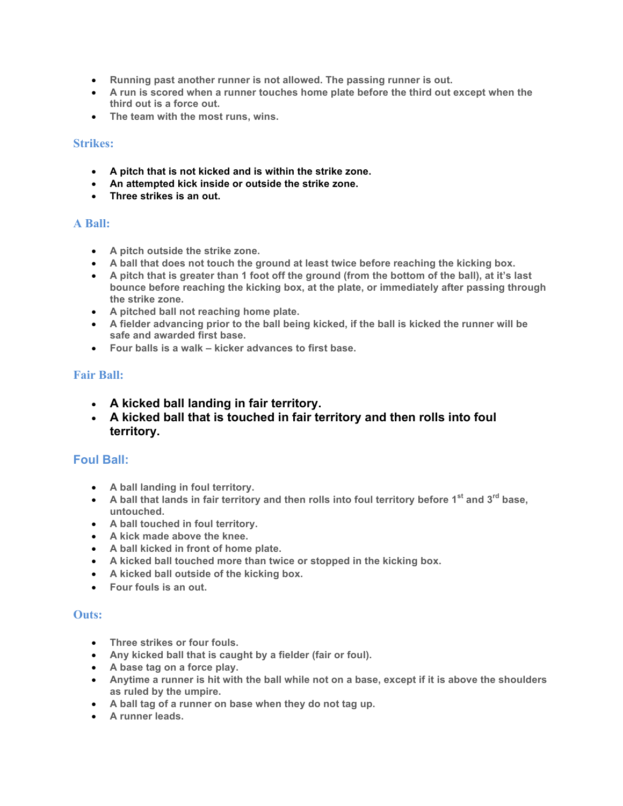- **Running past another runner is not allowed. The passing runner is out.**
- **A run is scored when a runner touches home plate before the third out except when the third out is a force out.**
- **The team with the most runs, wins.**

#### **Strikes:**

- **A pitch that is not kicked and is within the strike zone.**
- **An attempted kick inside or outside the strike zone.**
- **Three strikes is an out.**

### **A Ball:**

- **A pitch outside the strike zone.**
- **A ball that does not touch the ground at least twice before reaching the kicking box.**
- **A pitch that is greater than 1 foot off the ground (from the bottom of the ball), at it's last bounce before reaching the kicking box, at the plate, or immediately after passing through the strike zone.**
- **A pitched ball not reaching home plate.**
- **A fielder advancing prior to the ball being kicked, if the ball is kicked the runner will be safe and awarded first base.**
- **Four balls is a walk – kicker advances to first base.**

## **Fair Ball:**

- **A kicked ball landing in fair territory.**
- **A kicked ball that is touched in fair territory and then rolls into foul territory.**

## **Foul Ball:**

- **A ball landing in foul territory.**
- **A ball that lands in fair territory and then rolls into foul territory before 1st and 3rd base, untouched.**
- **A ball touched in foul territory.**
- **A kick made above the knee.**
- **A ball kicked in front of home plate.**
- **A kicked ball touched more than twice or stopped in the kicking box.**
- **A kicked ball outside of the kicking box.**
- **Four fouls is an out.**

### **Outs:**

- **Three strikes or four fouls.**
- **Any kicked ball that is caught by a fielder (fair or foul).**
- **A base tag on a force play.**
- **Anytime a runner is hit with the ball while not on a base, except if it is above the shoulders as ruled by the umpire.**
- **A ball tag of a runner on base when they do not tag up.**
- **A runner leads.**